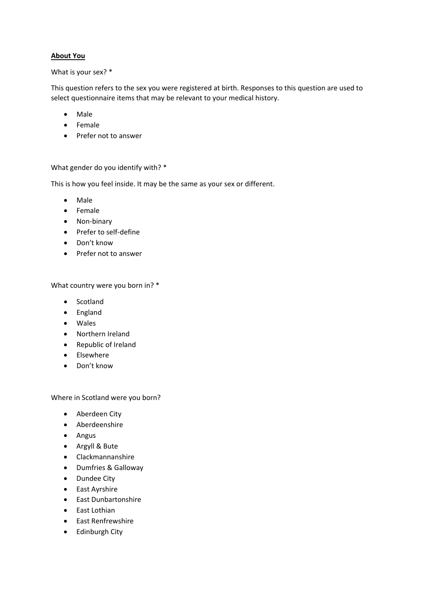### **About You**

#### What is your sex? \*

This question refers to the sex you were registered at birth. Responses to this question are used to select questionnaire items that may be relevant to your medical history.

- Male
- Female
- Prefer not to answer

#### What gender do you identify with? \*

This is how you feel inside. It may be the same as your sex or different.

- Male
- Female
- Non-binary
- Prefer to self-define
- Don't know
- Prefer not to answer

What country were you born in? \*

- Scotland
- England
- Wales
- Northern Ireland
- Republic of Ireland
- Elsewhere
- Don't know

Where in Scotland were you born?

- Aberdeen City
- Aberdeenshire
- Angus
- Argyll & Bute
- Clackmannanshire
- Dumfries & Galloway
- Dundee City
- East Ayrshire
- East Dunbartonshire
- East Lothian
- East Renfrewshire
- Edinburgh City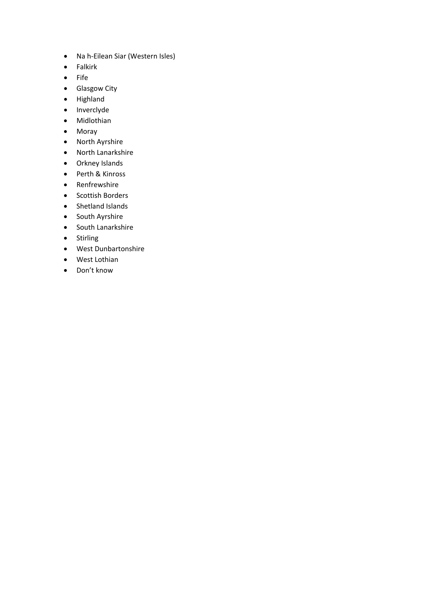- Na h-Eilean Siar (Western Isles)
- Falkirk
- Fife
- Glasgow City
- Highland
- Inverclyde
- Midlothian
- Moray
- North Ayrshire
- North Lanarkshire
- Orkney Islands
- Perth & Kinross
- Renfrewshire
- Scottish Borders
- Shetland Islands
- South Ayrshire
- South Lanarkshire
- Stirling
- West Dunbartonshire
- West Lothian
- Don't know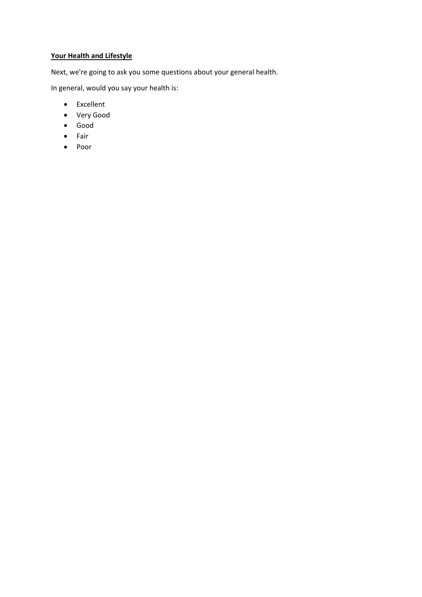# **Your Health and Lifestyle**

Next, we're going to ask you some questions about your general health.

In general, would you say your health is:

- Excellent
- Very Good
- Good
- Fair
- Poor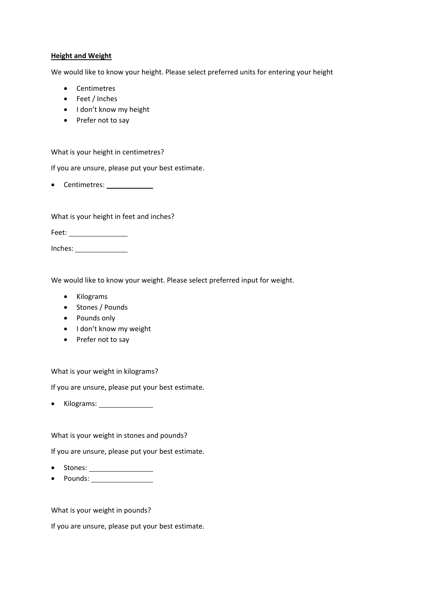#### **Height and Weight**

We would like to know your height. Please select preferred units for entering your height

- Centimetres
- Feet / Inches
- I don't know my height
- Prefer not to say

What is your height in centimetres?

If you are unsure, please put your best estimate.

• Centimetres:

What is your height in feet and inches?

Feet:

Inches:

We would like to know your weight. Please select preferred input for weight.

- Kilograms
- Stones / Pounds
- Pounds only
- I don't know my weight
- Prefer not to say

What is your weight in kilograms?

If you are unsure, please put your best estimate.

• Kilograms: \_\_\_\_\_\_\_\_\_\_\_\_\_\_\_\_

What is your weight in stones and pounds?

If you are unsure, please put your best estimate.

- Stones:
- Pounds:

What is your weight in pounds?

If you are unsure, please put your best estimate.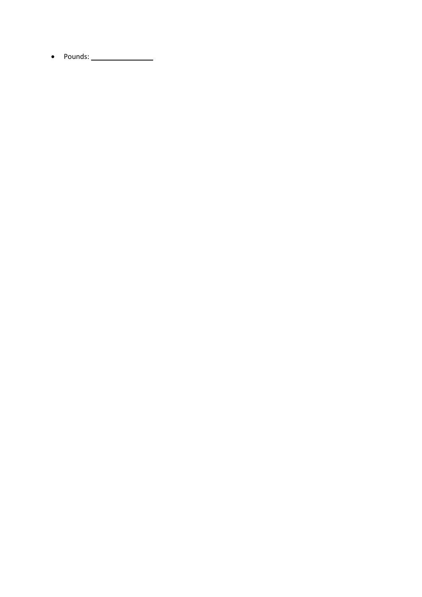• Pounds: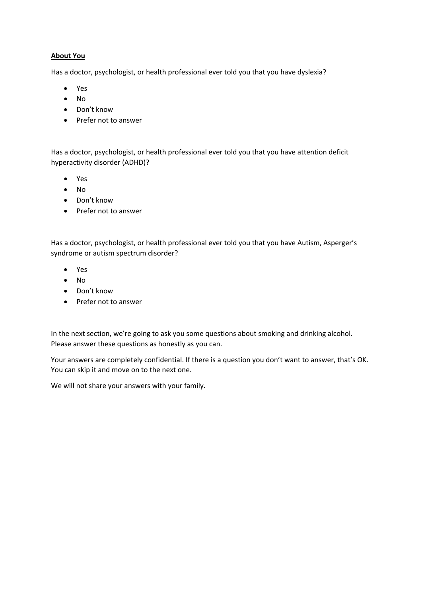# **About You**

Has a doctor, psychologist, or health professional ever told you that you have dyslexia?

- Yes
- No
- Don't know
- Prefer not to answer

Has a doctor, psychologist, or health professional ever told you that you have attention deficit hyperactivity disorder (ADHD)?

- Yes
- No
- Don't know
- Prefer not to answer

Has a doctor, psychologist, or health professional ever told you that you have Autism, Asperger's syndrome or autism spectrum disorder?

- Yes
- No
- Don't know
- Prefer not to answer

In the next section, we're going to ask you some questions about smoking and drinking alcohol. Please answer these questions as honestly as you can.

Your answers are completely confidential. If there is a question you don't want to answer, that's OK. You can skip it and move on to the next one.

We will not share your answers with your family.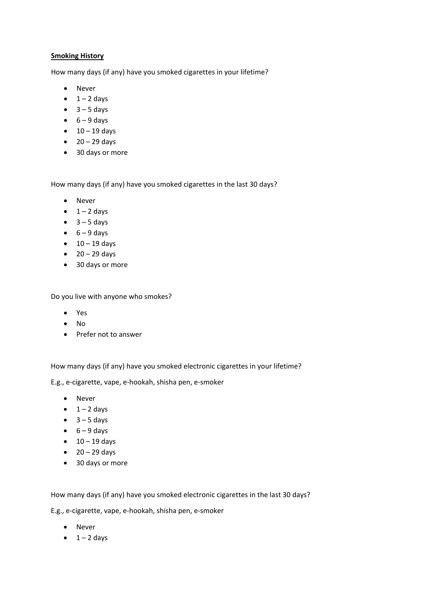### **Smoking History**

How many days (if any) have you smoked cigarettes in your lifetime?

- Never
- $\bullet$  1 2 days
- $\bullet$  3 5 days
- $\bullet$  6 9 days
- $\bullet$  10 19 days
- $\bullet$  20 29 days
- 30 days or more

How many days (if any) have you smoked cigarettes in the last 30 days?

- Never
- $\bullet$  1 2 days
- $\bullet$  3 5 days
- $\bullet$  6 9 days
- $\bullet$  10 19 days
- $\bullet$  20 29 days
- 30 days or more

Do you live with anyone who smokes?

- Yes
- No
- Prefer not to answer

How many days (if any) have you smoked electronic cigarettes in your lifetime?

E.g., e-cigarette, vape, e-hookah, shisha pen, e-smoker

- Never
- $\bullet$  1 2 days
- $\bullet$  3 5 days
- $\bullet$  6 9 days
- $\bullet$  10 19 days
- $\bullet$  20 29 days
- 30 days or more

How many days (if any) have you smoked electronic cigarettes in the last 30 days?

E.g., e-cigarette, vape, e-hookah, shisha pen, e-smoker

- Never
- $\bullet$  1 2 days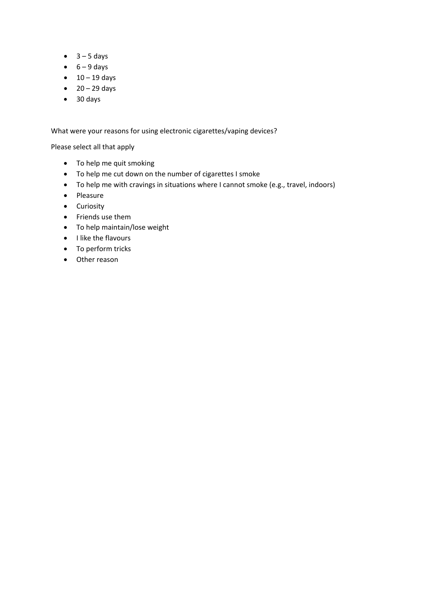- $\bullet$  3 5 days
- $\bullet$  6 9 days
- $\bullet$  10 19 days
- $\bullet$  20 29 days
- 30 days

What were your reasons for using electronic cigarettes/vaping devices?

Please select all that apply

- To help me quit smoking
- To help me cut down on the number of cigarettes I smoke
- To help me with cravings in situations where I cannot smoke (e.g., travel, indoors)
- Pleasure
- Curiosity
- Friends use them
- To help maintain/lose weight
- I like the flavours
- To perform tricks
- Other reason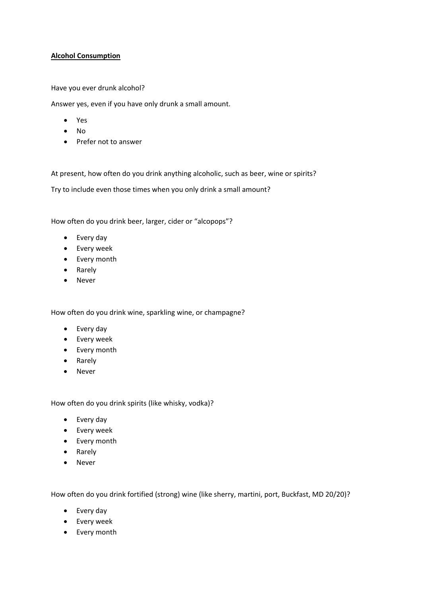### **Alcohol Consumption**

Have you ever drunk alcohol?

Answer yes, even if you have only drunk a small amount.

- Yes
- No
- Prefer not to answer

At present, how often do you drink anything alcoholic, such as beer, wine or spirits?

Try to include even those times when you only drink a small amount?

How often do you drink beer, larger, cider or "alcopops"?

- Every day
- Every week
- Every month
- Rarely
- Never

How often do you drink wine, sparkling wine, or champagne?

- Every day
- Every week
- Every month
- Rarely
- Never

How often do you drink spirits (like whisky, vodka)?

- Every day
- Every week
- Every month
- Rarely
- Never

How often do you drink fortified (strong) wine (like sherry, martini, port, Buckfast, MD 20/20)?

- Every day
- Every week
- Every month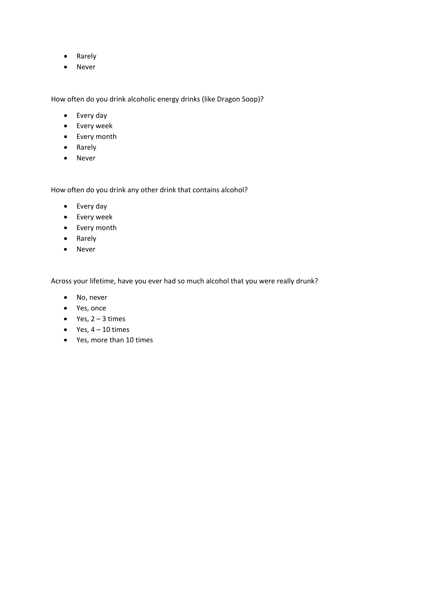- Rarely
- Never

How often do you drink alcoholic energy drinks (like Dragon Soop)?

- Every day
- Every week
- Every month
- Rarely
- Never

How often do you drink any other drink that contains alcohol?

- Every day
- Every week
- Every month
- Rarely
- Never

Across your lifetime, have you ever had so much alcohol that you were really drunk?

- No, never
- Yes, once
- Yes,  $2 3$  times
- Yes,  $4 10$  times
- Yes, more than 10 times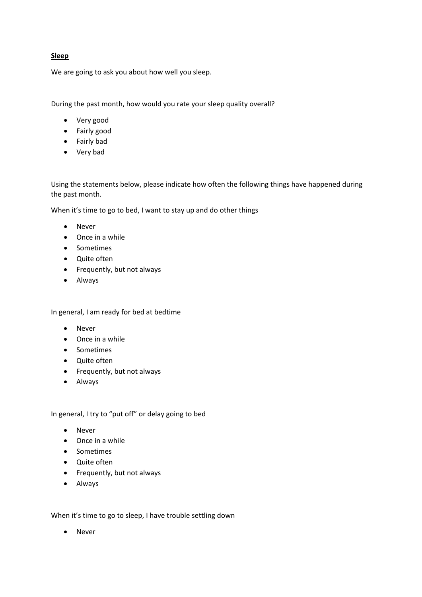# **Sleep**

We are going to ask you about how well you sleep.

During the past month, how would you rate your sleep quality overall?

- Very good
- Fairly good
- Fairly bad
- Very bad

Using the statements below, please indicate how often the following things have happened during the past month.

When it's time to go to bed, I want to stay up and do other things

- Never
- Once in a while
- Sometimes
- Quite often
- Frequently, but not always
- Always

In general, I am ready for bed at bedtime

- Never
- Once in a while
- Sometimes
- Quite often
- Frequently, but not always
- Always

In general, I try to "put off" or delay going to bed

- Never
- Once in a while
- Sometimes
- Quite often
- Frequently, but not always
- Always

When it's time to go to sleep, I have trouble settling down

• Never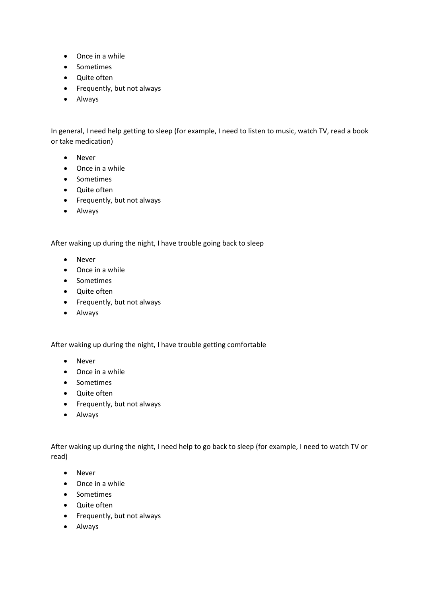- Once in a while
- Sometimes
- Quite often
- Frequently, but not always
- Always

In general, I need help getting to sleep (for example, I need to listen to music, watch TV, read a book or take medication)

- Never
- Once in a while
- Sometimes
- Quite often
- Frequently, but not always
- Always

After waking up during the night, I have trouble going back to sleep

- Never
- Once in a while
- Sometimes
- Quite often
- Frequently, but not always
- Always

After waking up during the night, I have trouble getting comfortable

- Never
- Once in a while
- Sometimes
- Quite often
- Frequently, but not always
- Always

After waking up during the night, I need help to go back to sleep (for example, I need to watch TV or read)

- Never
- Once in a while
- Sometimes
- Quite often
- Frequently, but not always
- Always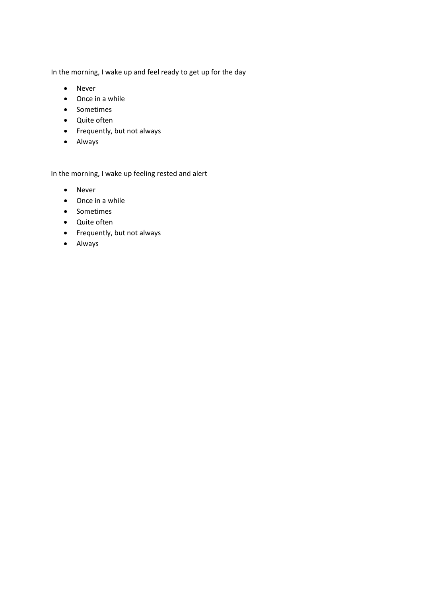In the morning, I wake up and feel ready to get up for the day

- Never
- Once in a while
- Sometimes
- Quite often
- Frequently, but not always
- Always

In the morning, I wake up feeling rested and alert

- Never
- Once in a while
- Sometimes
- Quite often
- Frequently, but not always
- Always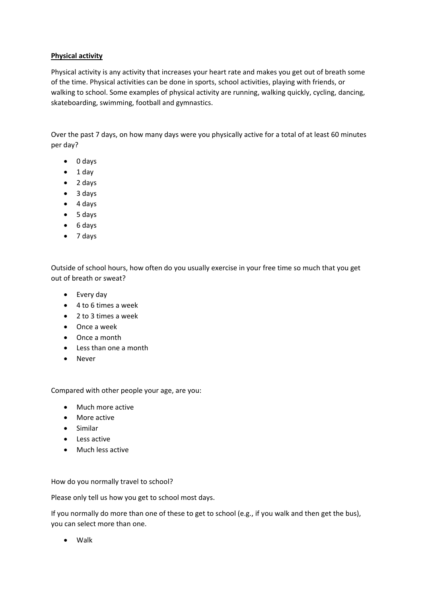# **Physical activity**

Physical activity is any activity that increases your heart rate and makes you get out of breath some of the time. Physical activities can be done in sports, school activities, playing with friends, or walking to school. Some examples of physical activity are running, walking quickly, cycling, dancing, skateboarding, swimming, football and gymnastics.

Over the past 7 days, on how many days were you physically active for a total of at least 60 minutes per day?

- 0 days
- 1 day
- 2 days
- 3 days
- 4 days
- 5 days
- 6 days
- 7 days

Outside of school hours, how often do you usually exercise in your free time so much that you get out of breath or sweat?

- Every day
- 4 to 6 times a week
- 2 to 3 times a week
- Once a week
- Once a month
- Less than one a month
- Never

Compared with other people your age, are you:

- Much more active
- More active
- Similar
- Less active
- Much less active

How do you normally travel to school?

Please only tell us how you get to school most days.

If you normally do more than one of these to get to school (e.g., if you walk and then get the bus), you can select more than one.

• Walk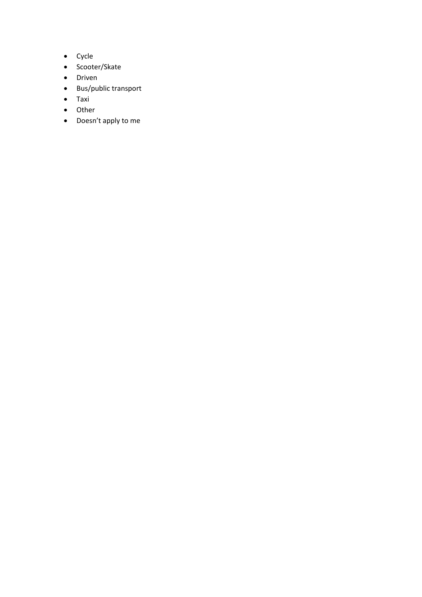- Cycle
- Scooter/Skate
- Driven
- Bus/public transport
- Taxi
- Other
- Doesn't apply to me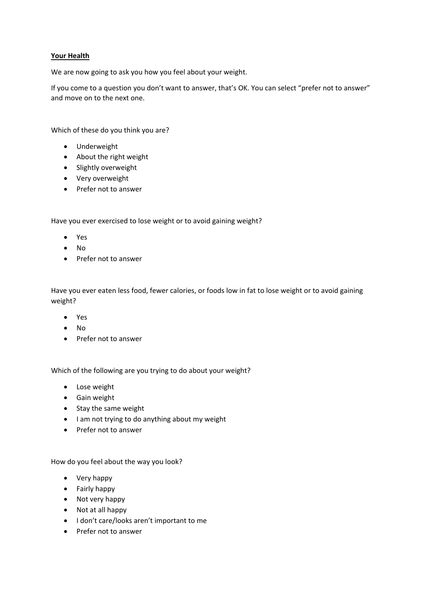### **Your Health**

We are now going to ask you how you feel about your weight.

If you come to a question you don't want to answer, that's OK. You can select "prefer not to answer" and move on to the next one.

Which of these do you think you are?

- Underweight
- About the right weight
- Slightly overweight
- Very overweight
- Prefer not to answer

Have you ever exercised to lose weight or to avoid gaining weight?

- Yes
- No
- Prefer not to answer

Have you ever eaten less food, fewer calories, or foods low in fat to lose weight or to avoid gaining weight?

- Yes
- No
- Prefer not to answer

Which of the following are you trying to do about your weight?

- Lose weight
- Gain weight
- Stay the same weight
- I am not trying to do anything about my weight
- Prefer not to answer

How do you feel about the way you look?

- Very happy
- Fairly happy
- Not very happy
- Not at all happy
- I don't care/looks aren't important to me
- Prefer not to answer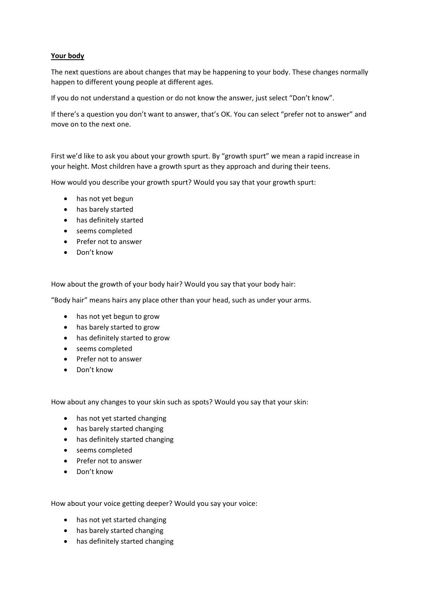### **Your body**

The next questions are about changes that may be happening to your body. These changes normally happen to different young people at different ages.

If you do not understand a question or do not know the answer, just select "Don't know".

If there's a question you don't want to answer, that's OK. You can select "prefer not to answer" and move on to the next one.

First we'd like to ask you about your growth spurt. By "growth spurt" we mean a rapid increase in your height. Most children have a growth spurt as they approach and during their teens.

How would you describe your growth spurt? Would you say that your growth spurt:

- has not yet begun
- has barely started
- has definitely started
- seems completed
- Prefer not to answer
- Don't know

How about the growth of your body hair? Would you say that your body hair:

"Body hair" means hairs any place other than your head, such as under your arms.

- has not yet begun to grow
- has barely started to grow
- has definitely started to grow
- seems completed
- Prefer not to answer
- Don't know

How about any changes to your skin such as spots? Would you say that your skin:

- has not yet started changing
- has barely started changing
- has definitely started changing
- seems completed
- Prefer not to answer
- Don't know

How about your voice getting deeper? Would you say your voice:

- has not yet started changing
- has barely started changing
- has definitely started changing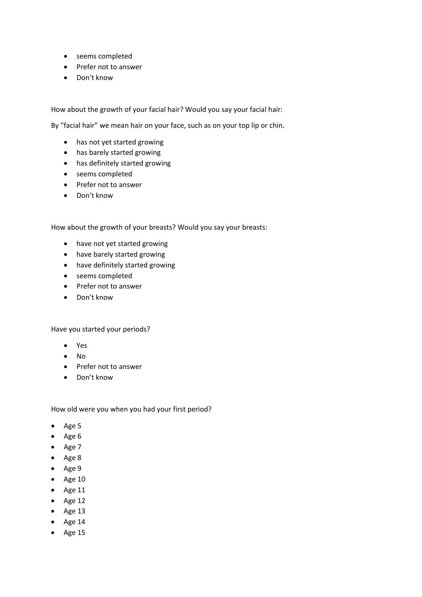- seems completed
- Prefer not to answer
- Don't know

How about the growth of your facial hair? Would you say your facial hair:

By "facial hair" we mean hair on your face, such as on your top lip or chin.

- has not yet started growing
- has barely started growing
- has definitely started growing
- seems completed
- Prefer not to answer
- Don't know

How about the growth of your breasts? Would you say your breasts:

- have not yet started growing
- have barely started growing
- have definitely started growing
- seems completed
- Prefer not to answer
- Don't know

#### Have you started your periods?

- Yes
- No
- Prefer not to answer
- Don't know

How old were you when you had your first period?

- Age 5
- Age 6
- Age 7
- Age 8
- Age 9
- Age 10
- Age 11
- $\bullet$  Age 12
- $\bullet$  Age 13
- Age 14
- Age 15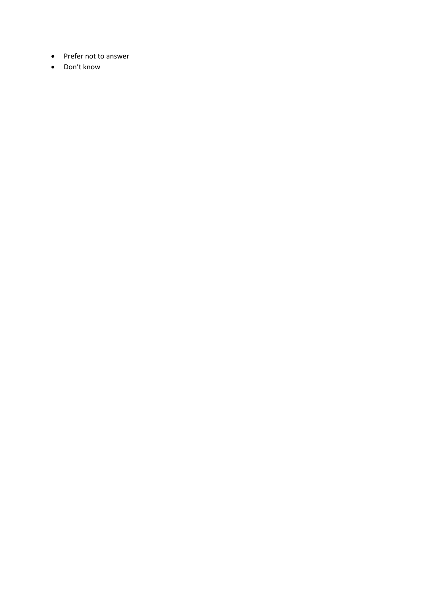- Prefer not to answer
- Don't know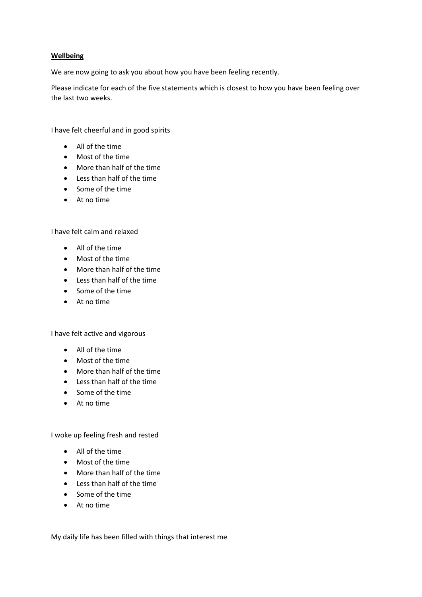#### **Wellbeing**

We are now going to ask you about how you have been feeling recently.

Please indicate for each of the five statements which is closest to how you have been feeling over the last two weeks.

I have felt cheerful and in good spirits

- All of the time
- Most of the time
- More than half of the time
- Less than half of the time
- Some of the time
- At no time

I have felt calm and relaxed

- All of the time
- Most of the time
- More than half of the time
- Less than half of the time
- Some of the time
- At no time

I have felt active and vigorous

- All of the time
- Most of the time
- More than half of the time
- Less than half of the time
- Some of the time
- At no time

I woke up feeling fresh and rested

- All of the time
- Most of the time
- More than half of the time
- Less than half of the time
- Some of the time
- At no time

My daily life has been filled with things that interest me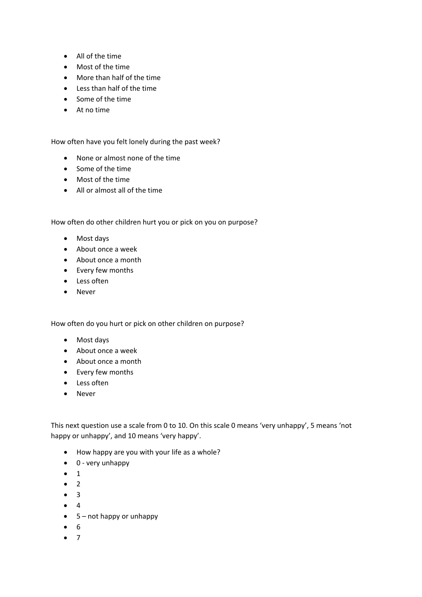- All of the time
- Most of the time
- More than half of the time
- Less than half of the time
- Some of the time
- At no time

How often have you felt lonely during the past week?

- None or almost none of the time
- Some of the time
- Most of the time
- All or almost all of the time

How often do other children hurt you or pick on you on purpose?

- Most days
- About once a week
- About once a month
- Every few months
- Less often
- Never

How often do you hurt or pick on other children on purpose?

- Most days
- About once a week
- About once a month
- Every few months
- Less often
- Never

This next question use a scale from 0 to 10. On this scale 0 means 'very unhappy', 5 means 'not happy or unhappy', and 10 means 'very happy'.

- How happy are you with your life as a whole?
- 0 very unhappy
- 1
- 2
- 3
- 4
- 5 not happy or unhappy
- 6
- 7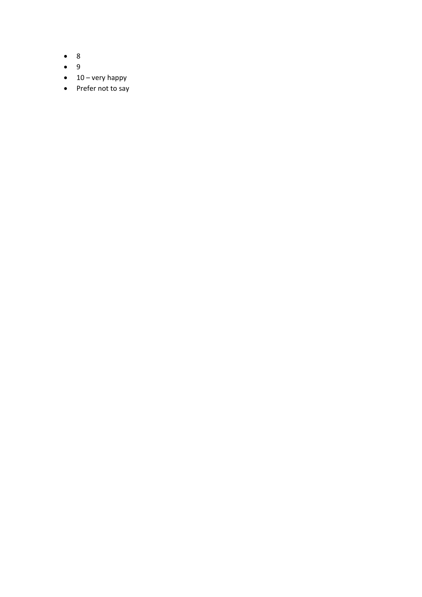- 8
- 9
- $\bullet$  10 very happy
- Prefer not to say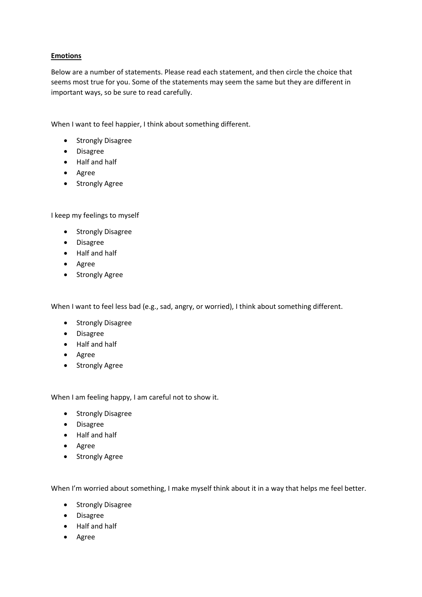# **Emotions**

Below are a number of statements. Please read each statement, and then circle the choice that seems most true for you. Some of the statements may seem the same but they are different in important ways, so be sure to read carefully.

When I want to feel happier, I think about something different.

- Strongly Disagree
- Disagree
- Half and half
- Agree
- Strongly Agree

I keep my feelings to myself

- Strongly Disagree
- Disagree
- Half and half
- Agree
- Strongly Agree

When I want to feel less bad (e.g., sad, angry, or worried), I think about something different.

- Strongly Disagree
- Disagree
- Half and half
- Agree
- Strongly Agree

When I am feeling happy, I am careful not to show it.

- Strongly Disagree
- Disagree
- Half and half
- Agree
- Strongly Agree

When I'm worried about something, I make myself think about it in a way that helps me feel better.

- Strongly Disagree
- Disagree
- Half and half
- Agree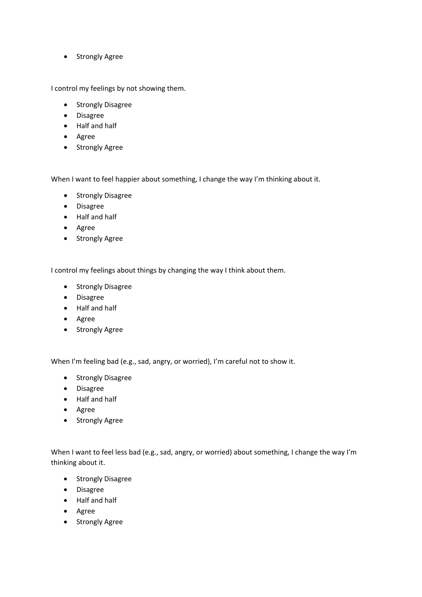• Strongly Agree

I control my feelings by not showing them.

- Strongly Disagree
- Disagree
- Half and half
- Agree
- Strongly Agree

When I want to feel happier about something, I change the way I'm thinking about it.

- Strongly Disagree
- Disagree
- Half and half
- Agree
- Strongly Agree

I control my feelings about things by changing the way I think about them.

- Strongly Disagree
- Disagree
- Half and half
- Agree
- Strongly Agree

When I'm feeling bad (e.g., sad, angry, or worried), I'm careful not to show it.

- Strongly Disagree
- Disagree
- Half and half
- Agree
- Strongly Agree

When I want to feel less bad (e.g., sad, angry, or worried) about something, I change the way I'm thinking about it.

- Strongly Disagree
- Disagree
- Half and half
- Agree
- Strongly Agree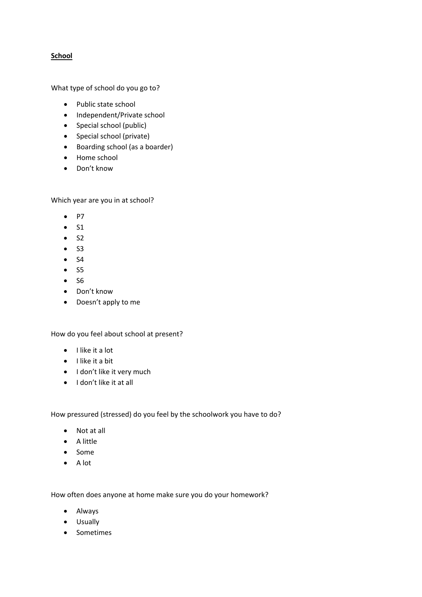# **School**

What type of school do you go to?

- Public state school
- Independent/Private school
- Special school (public)
- Special school (private)
- Boarding school (as a boarder)
- Home school
- Don't know

Which year are you in at school?

- P7
- $S1$
- $S2$
- $S3$
- S4
- $•$  S5
- S6
- Don't know
- Doesn't apply to me

How do you feel about school at present?

- I like it a lot
- I like it a bit
- I don't like it very much
- I don't like it at all

How pressured (stressed) do you feel by the schoolwork you have to do?

- Not at all
- A little
- Some
- A lot

How often does anyone at home make sure you do your homework?

- Always
- Usually
- Sometimes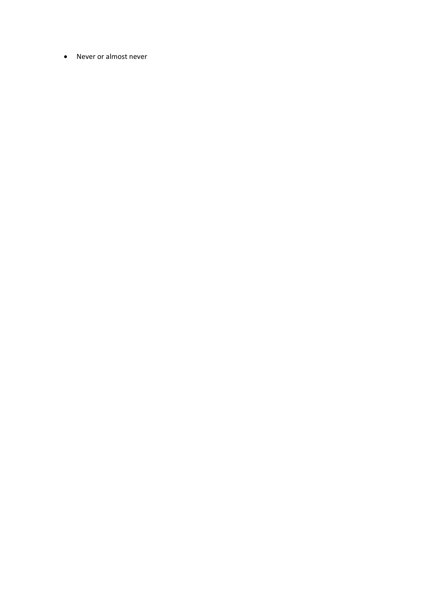• Never or almost never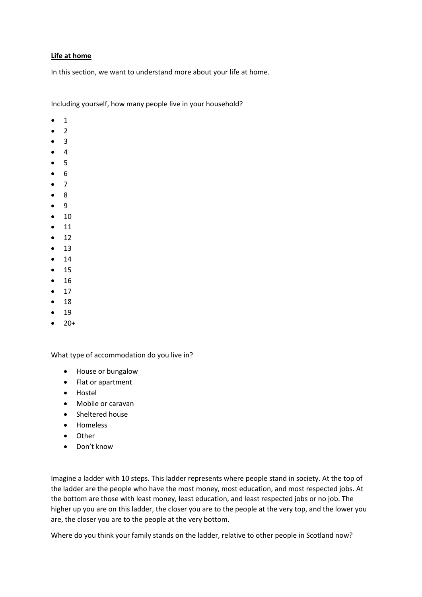#### **Life at home**

In this section, we want to understand more about your life at home.

Including yourself, how many people live in your household?

- 1
- 2
- 3
- 4
- 5
- 6
- 7
- 8
- 9
- 10
- 11
- $\bullet$  12
- 13
- 14
- 15
- 16
- 17
- 18
- 19
- $20+$

What type of accommodation do you live in?

- House or bungalow
- Flat or apartment
- Hostel
- Mobile or caravan
- Sheltered house
- Homeless
- Other
- Don't know

Imagine a ladder with 10 steps. This ladder represents where people stand in society. At the top of the ladder are the people who have the most money, most education, and most respected jobs. At the bottom are those with least money, least education, and least respected jobs or no job. The higher up you are on this ladder, the closer you are to the people at the very top, and the lower you are, the closer you are to the people at the very bottom.

Where do you think your family stands on the ladder, relative to other people in Scotland now?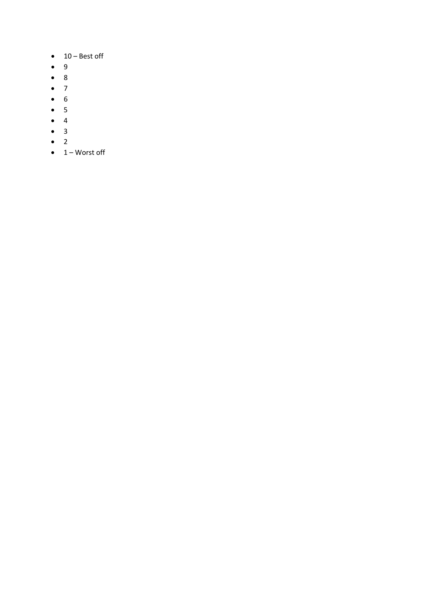- 10 Best off
- 9
- 8
- 7
- 6
- 5
- 4
- 3
- 2
- $\bullet$  1 Worst off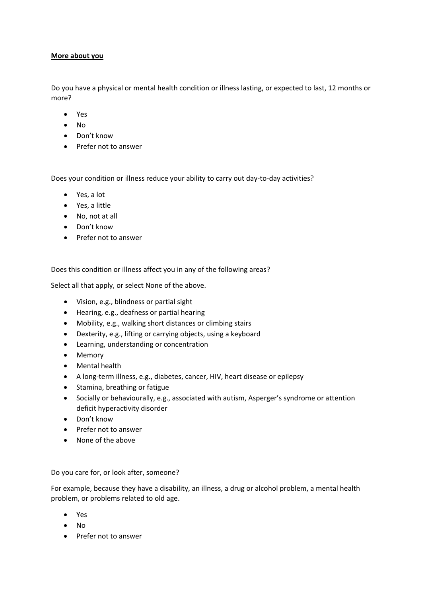#### **More about you**

Do you have a physical or mental health condition or illness lasting, or expected to last, 12 months or more?

- Yes
- No
- Don't know
- Prefer not to answer

Does your condition or illness reduce your ability to carry out day-to-day activities?

- Yes, a lot
- Yes, a little
- No, not at all
- Don't know
- Prefer not to answer

Does this condition or illness affect you in any of the following areas?

Select all that apply, or select None of the above.

- Vision, e.g., blindness or partial sight
- Hearing, e.g., deafness or partial hearing
- Mobility, e.g., walking short distances or climbing stairs
- Dexterity, e.g., lifting or carrying objects, using a keyboard
- Learning, understanding or concentration
- Memory
- Mental health
- A long-term illness, e.g., diabetes, cancer, HIV, heart disease or epilepsy
- Stamina, breathing or fatigue
- Socially or behaviourally, e.g., associated with autism, Asperger's syndrome or attention deficit hyperactivity disorder
- Don't know
- Prefer not to answer
- None of the above

Do you care for, or look after, someone?

For example, because they have a disability, an illness, a drug or alcohol problem, a mental health problem, or problems related to old age.

- Yes
- No
- Prefer not to answer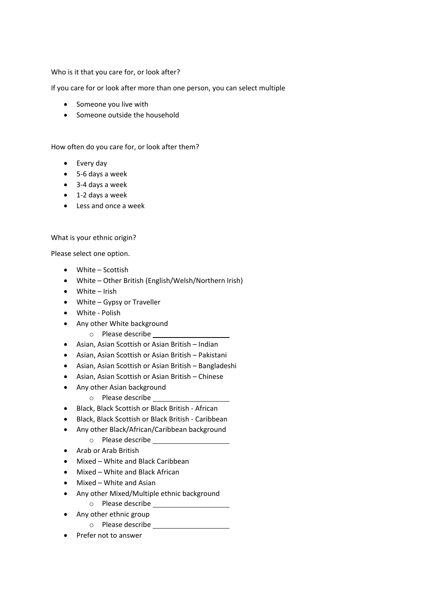Who is it that you care for, or look after?

If you care for or look after more than one person, you can select multiple

- Someone you live with
- Someone outside the household

How often do you care for, or look after them?

- Every day
- 5-6 days a week
- 3-4 days a week
- 1-2 days a week
- Less and once a week

What is your ethnic origin?

Please select one option.

- White Scottish
- White Other British (English/Welsh/Northern Irish)
- White Irish
- White Gypsy or Traveller
- White Polish
- Any other White background
	- o Please describe
- Asian, Asian Scottish or Asian British Indian
- Asian, Asian Scottish or Asian British Pakistani
- Asian, Asian Scottish or Asian British Bangladeshi
- Asian, Asian Scottish or Asian British Chinese
- Any other Asian background
	- o Please describe
- Black, Black Scottish or Black British African
- Black, Black Scottish or Black British Caribbean
- Any other Black/African/Caribbean background
	- o Please describe
- Arab or Arab British
- Mixed White and Black Caribbean
- Mixed White and Black African
- Mixed White and Asian
- Any other Mixed/Multiple ethnic background
	- o Please describe
- Any other ethnic group
	- o Please describe
- Prefer not to answer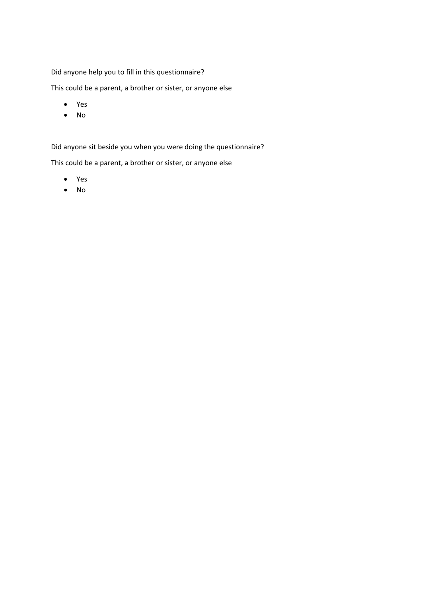# Did anyone help you to fill in this questionnaire?

This could be a parent, a brother or sister, or anyone else

- Yes
- No

Did anyone sit beside you when you were doing the questionnaire?

This could be a parent, a brother or sister, or anyone else

- Yes
- No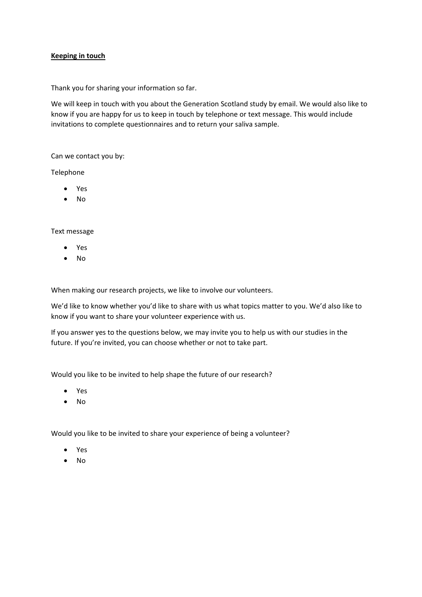### **Keeping in touch**

Thank you for sharing your information so far.

We will keep in touch with you about the Generation Scotland study by email. We would also like to know if you are happy for us to keep in touch by telephone or text message. This would include invitations to complete questionnaires and to return your saliva sample.

Can we contact you by:

Telephone

- Yes
- No

Text message

- Yes
- No

When making our research projects, we like to involve our volunteers.

We'd like to know whether you'd like to share with us what topics matter to you. We'd also like to know if you want to share your volunteer experience with us.

If you answer yes to the questions below, we may invite you to help us with our studies in the future. If you're invited, you can choose whether or not to take part.

Would you like to be invited to help shape the future of our research?

- Yes
- No

Would you like to be invited to share your experience of being a volunteer?

- Yes
- No